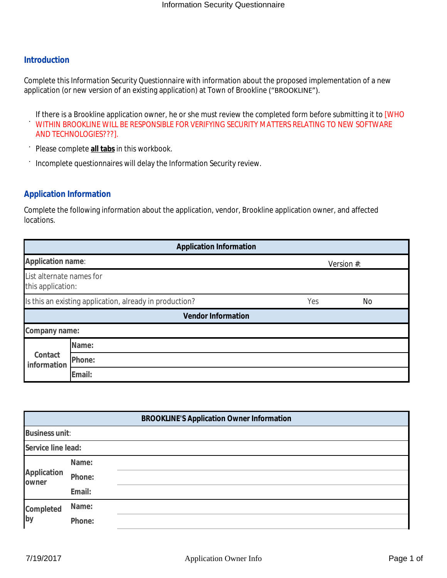## **Introduction**

Complete this *Information Security Questionnaire* with information about the proposed implementation of a new application (or new version of an existing application) at Town of Brookline ("BROOKLINE").

If there is a Brookline application owner, he or she must review the completed form before submitting it to [WHO

- · WITHIN BROOKLINE WILL BE RESPONSIBLE FOR VERIFYING SECURITY MATTERS RELATING TO NEW SOFTWARE AND TECHNOLOGIES???].
- · Please complete **all tabs** in this workbook.
- · Incomplete questionnaires will delay the Information Security review.

## **Application Information**

Complete the following information about the application, vendor, Brookline application owner, and affected locations.

|                                               | <b>Application Information</b>                          |     |            |
|-----------------------------------------------|---------------------------------------------------------|-----|------------|
| <b>Application name:</b>                      |                                                         |     | Version #: |
| List alternate names for<br>this application: |                                                         |     |            |
|                                               | Is this an existing application, already in production? | Yes | <b>No</b>  |
|                                               | <b>Vendor Information</b>                               |     |            |
| Company name:                                 |                                                         |     |            |
|                                               | Name:                                                   |     |            |
| Contact<br>information                        | Phone:                                                  |     |            |
|                                               | Email:                                                  |     |            |

|                              |        | <b>BROOKLINE'S Application Owner Information</b> |
|------------------------------|--------|--------------------------------------------------|
| <b>Business unit:</b>        |        |                                                  |
| Service line lead:           |        |                                                  |
|                              | Name:  |                                                  |
| <b>Application</b><br>lowner | Phone: |                                                  |
|                              | Email: |                                                  |
| Completed                    | Name:  |                                                  |
| by                           | Phone: |                                                  |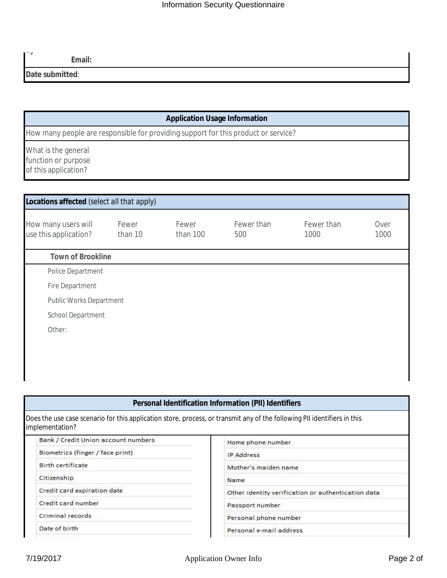**Email:**

**Date submitted**:

 $\sim$ *j* 

## **Application Usage Information**

How many people are responsible for providing support for this product or service?

What is the general function or purpose of this application?

| How many users will<br>use this application? | Fewer<br>than 10 | Fewer<br>than 100 | Fewer than<br>500 | Fewer than<br>1000 | Over<br>1000 |
|----------------------------------------------|------------------|-------------------|-------------------|--------------------|--------------|
| <b>Town of Brookline</b>                     |                  |                   |                   |                    |              |
| Police Department                            |                  |                   |                   |                    |              |
| Fire Department                              |                  |                   |                   |                    |              |
| Public Works Department                      |                  |                   |                   |                    |              |
| School Department                            |                  |                   |                   |                    |              |
| Other:                                       |                  |                   |                   |                    |              |

# **Personal Identification Information (PII) Identifiers**

| Does the use case scenario for this application store, process, or transmit any of the following PII identifiers in this |  |
|--------------------------------------------------------------------------------------------------------------------------|--|
| implementation?                                                                                                          |  |

| Bank / Credit Union account numbers | Home phone number                                  |
|-------------------------------------|----------------------------------------------------|
| Biometrics (finger / face print)    | <b>IP Address</b>                                  |
| Birth certificate                   | Mother's maiden name                               |
| Citizenship                         | Name                                               |
| Credit card expiration date         | Other identity verification or authentication data |
| Credit card number                  | Passport number                                    |
| Criminal records                    | Personal phone number                              |
| Date of birth                       | Personal e-mail address                            |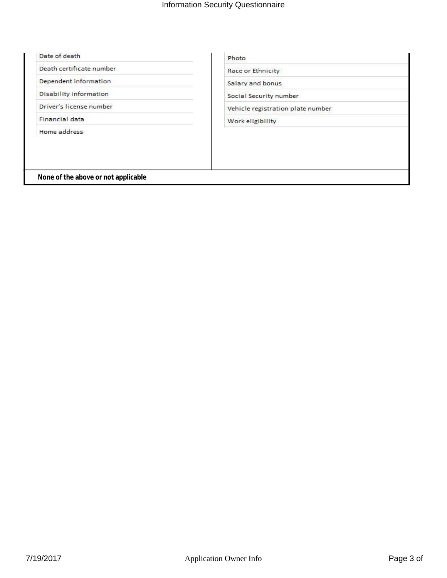### Date of death

Death certificate number

Dependent information

Disability information

Driver's license number

Financial data

Home address

Race or Ethnicity

Salary and bonus

Social Security number

Vehicle registration plate number

Work eligibility

 **None of the above or not applicable**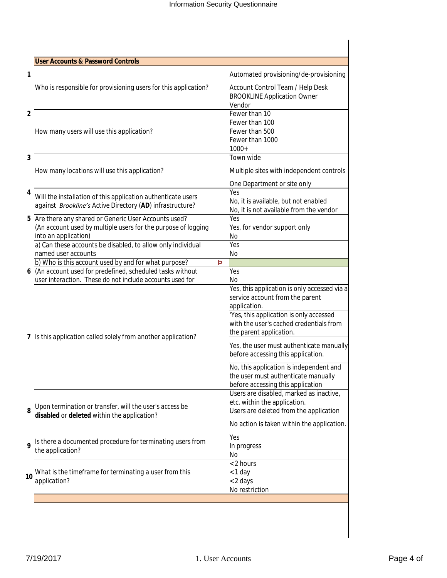| <b>User Accounts &amp; Password Controls</b>                                                                                                                                                                |                                                                                                                                                                                                                  |
|-------------------------------------------------------------------------------------------------------------------------------------------------------------------------------------------------------------|------------------------------------------------------------------------------------------------------------------------------------------------------------------------------------------------------------------|
|                                                                                                                                                                                                             | Automated provisioning/de-provisioning                                                                                                                                                                           |
| Who is responsible for provisioning users for this application?                                                                                                                                             | Account Control Team / Help Desk<br><b>BROOKLINE Application Owner</b><br>Vendor                                                                                                                                 |
| How many users will use this application?                                                                                                                                                                   | Fewer than 10<br>Fewer than 100<br>Fewer than 500<br>Fewer than 1000<br>$1000+$                                                                                                                                  |
| How many locations will use this application?                                                                                                                                                               | Town wide<br>Multiple sites with independent controls                                                                                                                                                            |
| Will the installation of this application authenticate users<br>against Brookline's Active Directory (AD) infrastructure?                                                                                   | One Department or site only<br>Yes<br>No, it is available, but not enabled<br>No, it is not available from the vendor                                                                                            |
| Are there any shared or Generic User Accounts used?<br>(An account used by multiple users for the purpose of logging<br>into an application)<br>a) Can these accounts be disabled, to allow only individual | Yes<br>Yes, for vendor support only<br>No<br>Yes                                                                                                                                                                 |
| named user accounts<br>b) Who is this account used by and for what purpose?                                                                                                                                 | No<br>Þ                                                                                                                                                                                                          |
| (An account used for predefined, scheduled tasks without<br>user interaction. These do not include accounts used for                                                                                        | Yes<br>No                                                                                                                                                                                                        |
| Is this application called solely from another application?                                                                                                                                                 | Yes, this application is only accessed via a<br>service account from the parent<br>application.<br>'Yes, this application is only accessed<br>with the user's cached credentials from<br>the parent application. |
|                                                                                                                                                                                                             | Yes, the user must authenticate manually<br>before accessing this application.                                                                                                                                   |
|                                                                                                                                                                                                             | No, this application is independent and<br>the user must authenticate manually<br>before accessing this application                                                                                              |
| Upon termination or transfer, will the user's access be<br>disabled or deleted within the application?                                                                                                      | Users are disabled, marked as inactive,<br>etc. within the application.<br>Users are deleted from the application                                                                                                |
|                                                                                                                                                                                                             | No action is taken within the application.                                                                                                                                                                       |
| Is there a documented procedure for terminating users from<br>the application?                                                                                                                              | Yes<br>In progress<br>No                                                                                                                                                                                         |
| What is the timeframe for terminating a user from this<br>application?                                                                                                                                      | < 2 hours<br>< 1 day<br>< 2 days<br>No restriction                                                                                                                                                               |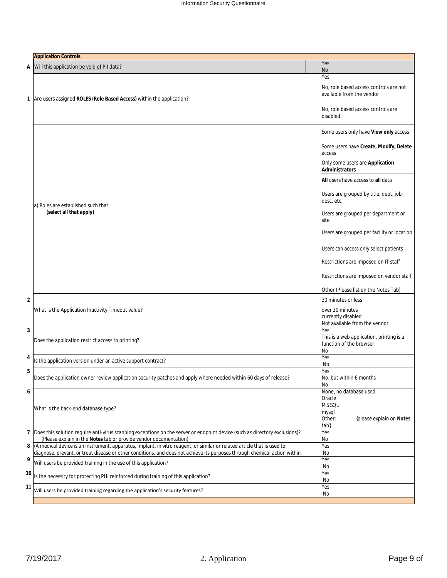|    | <b>Application Controls</b>                                                                                                                                                                     |                                                                                                                                                                                                                                                                                                                                                                                                                                                                      |
|----|-------------------------------------------------------------------------------------------------------------------------------------------------------------------------------------------------|----------------------------------------------------------------------------------------------------------------------------------------------------------------------------------------------------------------------------------------------------------------------------------------------------------------------------------------------------------------------------------------------------------------------------------------------------------------------|
| А  | Will this application be void of PII data?                                                                                                                                                      | Yes                                                                                                                                                                                                                                                                                                                                                                                                                                                                  |
|    |                                                                                                                                                                                                 | No                                                                                                                                                                                                                                                                                                                                                                                                                                                                   |
|    | 1 Are users assigned ROLES (Role Based Access) within the application?                                                                                                                          | Yes<br>No, role based access controls are not<br>available from the vendor<br>No, role based access controls are<br>disabled.                                                                                                                                                                                                                                                                                                                                        |
|    | a) Roles are established such that:<br>(select all that apply)                                                                                                                                  | Some users only have View only access<br>Some users have Create, Modify, Delete<br>access<br>Only some users are Application<br>Administrators<br>All users have access to all data<br>Users are grouped by title, dept, job<br>desc, etc.<br>Users are grouped per department or<br>site<br>Users are grouped per facility or location<br>Users can access only select patients<br>Restrictions are imposed on IT staff<br>Restrictions are imposed on vendor staff |
| 2  | What is the Application Inactivity Timeout value?                                                                                                                                               | Other (Please list on the Notes Tab)<br>30 minutes or less<br>over 30 minutes<br>currently disabled<br>Not available from the vendor                                                                                                                                                                                                                                                                                                                                 |
| 3  | Does the application restrict access to printing?                                                                                                                                               | Yes<br>This is a web application, printing is a<br>function of the browser<br>No                                                                                                                                                                                                                                                                                                                                                                                     |
| 4  | Is the application version under an active support contract?                                                                                                                                    | Yes<br>No                                                                                                                                                                                                                                                                                                                                                                                                                                                            |
| 5  | Does the application owner review application security patches and apply where needed within 60 days of release?                                                                                | Yes<br>No, but within 6 months<br>No                                                                                                                                                                                                                                                                                                                                                                                                                                 |
| 6  | What is the back-end database type?                                                                                                                                                             | None, no database used<br>Oracle<br>MS SQL<br>mysql<br>Other:<br>{please explain on Notes<br>tab}                                                                                                                                                                                                                                                                                                                                                                    |
| 7  | Does this solution require anti-virus scanning exceptions on the server or endpoint device (such as directory exclusions)?<br>(Please explain in the Notes tab or provide vendor documentation) | Yes<br>No                                                                                                                                                                                                                                                                                                                                                                                                                                                            |
| 8  | (A medical device is an instrument, apparatus, implant, in vitro reagent, or similar or related article that is used to                                                                         | Yes                                                                                                                                                                                                                                                                                                                                                                                                                                                                  |
| 9  | diagnose, prevent, or treat disease or other conditions, and does not achieve its purposes through chemical action within                                                                       | No<br>Yes                                                                                                                                                                                                                                                                                                                                                                                                                                                            |
|    | Will users be provided training in the use of this application?                                                                                                                                 | No                                                                                                                                                                                                                                                                                                                                                                                                                                                                   |
| 10 | Is the necessity for protecting PHI reinforced during training of this application?                                                                                                             | Yes<br>No                                                                                                                                                                                                                                                                                                                                                                                                                                                            |
| 11 | Will users be provided training regarding the application's security features?                                                                                                                  | Yes<br>No                                                                                                                                                                                                                                                                                                                                                                                                                                                            |
|    |                                                                                                                                                                                                 |                                                                                                                                                                                                                                                                                                                                                                                                                                                                      |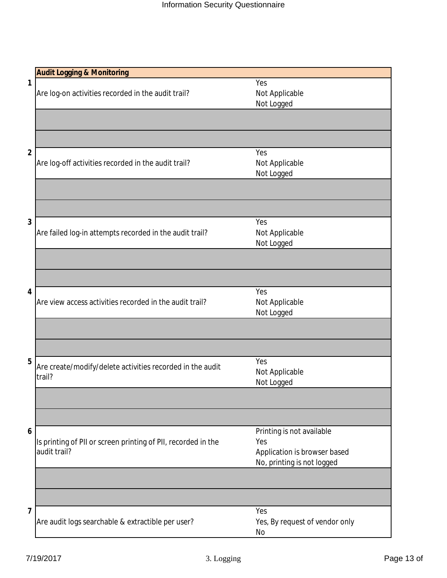|   | <b>Audit Logging &amp; Monitoring</b>                         |                                |
|---|---------------------------------------------------------------|--------------------------------|
| 1 |                                                               | Yes                            |
|   | Are log-on activities recorded in the audit trail?            | Not Applicable                 |
|   |                                                               | Not Logged                     |
|   |                                                               |                                |
|   |                                                               |                                |
| 2 |                                                               | Yes                            |
|   | Are log-off activities recorded in the audit trail?           | Not Applicable                 |
|   |                                                               | Not Logged                     |
|   |                                                               |                                |
|   |                                                               |                                |
| 3 |                                                               | Yes                            |
|   | Are failed log-in attempts recorded in the audit trail?       | Not Applicable                 |
|   |                                                               | Not Logged                     |
|   |                                                               |                                |
|   |                                                               |                                |
| 4 |                                                               | Yes                            |
|   | Are view access activities recorded in the audit trail?       | Not Applicable                 |
|   |                                                               | Not Logged                     |
|   |                                                               |                                |
|   |                                                               |                                |
| 5 | Are create/modify/delete activities recorded in the audit     | Yes                            |
|   | trail?                                                        | Not Applicable                 |
|   |                                                               | Not Logged                     |
|   |                                                               |                                |
|   |                                                               |                                |
| 6 |                                                               | Printing is not available      |
|   | Is printing of PII or screen printing of PII, recorded in the | Yes                            |
|   | audit trail?                                                  | Application is browser based   |
|   |                                                               | No, printing is not logged     |
|   |                                                               |                                |
|   |                                                               |                                |
| 7 |                                                               | Yes                            |
|   | Are audit logs searchable & extractible per user?             | Yes, By request of vendor only |
|   |                                                               | No                             |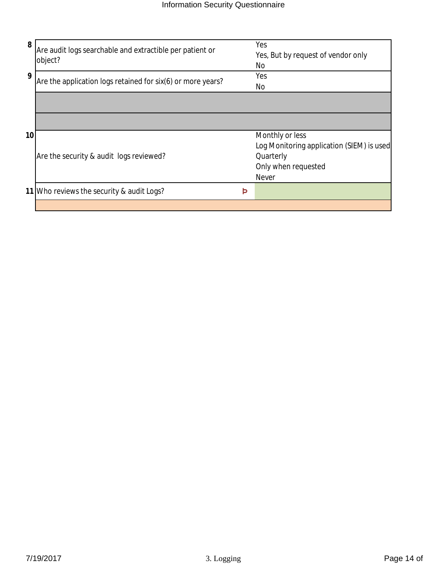| 8  | Are audit logs searchable and extractible per patient or<br>object? |   | Yes<br>Yes, But by request of vendor only<br>No |
|----|---------------------------------------------------------------------|---|-------------------------------------------------|
| 9  | Are the application logs retained for six(6) or more years?         |   | Yes<br>No                                       |
|    |                                                                     |   |                                                 |
|    |                                                                     |   |                                                 |
| 10 |                                                                     |   | Monthly or less                                 |
|    |                                                                     |   | Log Monitoring application (SIEM) is used       |
|    | Are the security & audit logs reviewed?                             |   | Quarterly                                       |
|    |                                                                     |   | Only when requested                             |
|    |                                                                     |   | <b>Never</b>                                    |
|    | 11 Who reviews the security & audit Logs?                           | Þ |                                                 |
|    |                                                                     |   |                                                 |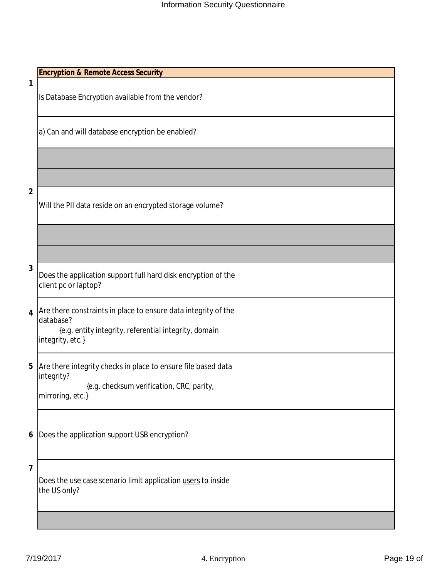**1**

Is Database Encryption available from the vendor?

a) Can and will database encryption be enabled?

**2**

Will the PII data reside on an encrypted storage volume?

 ${\cal F}$  and  ${\cal F}$  and  ${\cal F}$  and  ${\cal F}$  and  ${\cal F}$  and  ${\cal F}$  and  ${\cal F}$  and  ${\cal F}$ 

 ${\cal F}$  and  ${\cal F}$  and  ${\cal F}$  and  ${\cal F}$  and  ${\cal F}$  and  ${\cal F}$  and  ${\cal F}$ 

**3**

Does the application support full hard disk encryption of the client pc or laptop?

**4** Are there constraints in place to ensure data integrity of the database?

 {*e.g. entity integrity, referential integrity, domain integrity, etc.*}

**5** Are there integrity checks in place to ensure file based data integrity?

 {*e.g. checksum verification, CRC, parity, mirroring, etc.*}

**6** Does the application support USB encryption?

**7**

Does the use case scenario limit application users to inside the US only?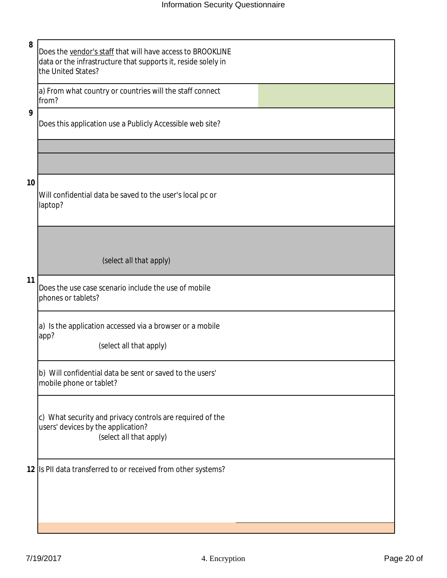|   | ٩        |   |         |  |
|---|----------|---|---------|--|
|   |          |   |         |  |
|   | ۰,<br>۰, |   |         |  |
| × |          | v | č<br>۰. |  |

Does the vendor's staff that will have access to BROOKLINE data or the infrastructure that supports it, reside solely in the United States?

a) From what country or countries will the staff connect from?

### **9**

Does this application use a Publicly Accessible web site?

### **10**

Will confidential data be saved to the user's local pc or laptop?

*(select all that apply)*

### **11**

Does the use case scenario include the use of mobile phones or tablets?

a) Is the application accessed via a browser or a mobile app?

(select all that apply)

b) Will confidential data be sent or saved to the users' mobile phone or tablet?

c) What security and privacy controls are required of the users' devices by the application? *(select all that apply)*

**12** Is PII data transferred to or received from other systems?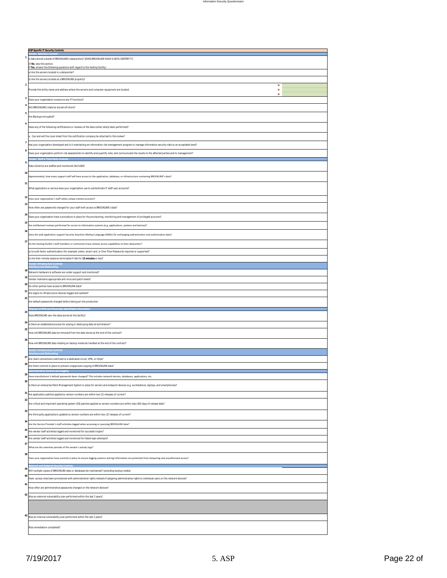| <b>ASP Specific IT Security Controls</b>                                                                                              |                                                                                                                                                           |        |
|---------------------------------------------------------------------------------------------------------------------------------------|-----------------------------------------------------------------------------------------------------------------------------------------------------------|--------|
|                                                                                                                                       |                                                                                                                                                           |        |
| (if No, skip this section.                                                                                                            | Is data stored outside of BROOKLINE's datacenters? [DOES BROOKLINE HAVE A DATA CENTER???]                                                                 |        |
| If Yes, answer the following questions with regard to the hosting facility)                                                           |                                                                                                                                                           |        |
| a) Are the servers located in a datacenter?                                                                                           |                                                                                                                                                           |        |
| b) Are the servers located at a BROOKLINE property?                                                                                   |                                                                                                                                                           |        |
| $\overline{\mathbf{2}}$                                                                                                               |                                                                                                                                                           | Þ      |
|                                                                                                                                       | Provide the entity name and address where the servers and computer equipment are located.                                                                 | Þ<br>Þ |
| 3<br>Does your organization outsource any IT functions?                                                                               |                                                                                                                                                           |        |
| 4<br>Will BROOKLINE's data be stored off-shore?                                                                                       |                                                                                                                                                           |        |
| 5                                                                                                                                     |                                                                                                                                                           |        |
| Are Backups encrypted?                                                                                                                |                                                                                                                                                           |        |
| 6                                                                                                                                     | Have any of the following certifications or reviews of the data center site(s) been performed?                                                            |        |
|                                                                                                                                       |                                                                                                                                                           |        |
|                                                                                                                                       | a. Can and will the cover sheet from the certification company be attached to this review?                                                                |        |
|                                                                                                                                       | Has your organization developed and is it maintaining an information risk management program to manage information security risks to an acceptable level? |        |
|                                                                                                                                       | Does your organization perform risk assessments to identify and quantify risks; and communicate the results to the affected parties and to management?    |        |
| Staff & Third Party C                                                                                                                 |                                                                                                                                                           |        |
| Data Center(s) are staffed and monitored 24x7x365?                                                                                    |                                                                                                                                                           |        |
| 10                                                                                                                                    |                                                                                                                                                           |        |
|                                                                                                                                       | Approximately, how many support staff will have access to the application, database, or infrastructure containing BROOKLINE's data?                       |        |
| 11                                                                                                                                    |                                                                                                                                                           |        |
|                                                                                                                                       | What application or service does your organization use to authenticate IT staff user accounts?                                                            |        |
| 12 Does your organization's staff utilize unique named accounts?                                                                      |                                                                                                                                                           |        |
| 13                                                                                                                                    |                                                                                                                                                           |        |
|                                                                                                                                       | How often are passwords changed for your staff with access to BROOKLINE's data?                                                                           |        |
| 14                                                                                                                                    | Does your organization have a procedure in place for the provisioning, monitoring and management of privileged accounts?                                  |        |
| 15                                                                                                                                    | Are entitlement reviews performed for access to information systems (e.g. applications, systems and devices)?                                             |        |
| 16                                                                                                                                    |                                                                                                                                                           |        |
|                                                                                                                                       | Does the web application support Security Assertion Markup Language (SAML) for exchanging authentication and authorization data?                          |        |
|                                                                                                                                       | Do the hosting facility's staff members or contractors have remote access capabilities to their datacenter?                                               |        |
|                                                                                                                                       | a) Is multi-factor authentication (for example, token, smart card, or One-Time-Password) required or supported?                                           |        |
| b) Are their remote sessions terminated if idle for 15 minutes or less?                                                               |                                                                                                                                                           |        |
|                                                                                                                                       |                                                                                                                                                           |        |
| 18                                                                                                                                    |                                                                                                                                                           |        |
| Network hardware & software are under support and monitored?<br>19                                                                    |                                                                                                                                                           |        |
| Vendor maintains appropriate anti-virus and patch levels?                                                                             |                                                                                                                                                           |        |
|                                                                                                                                       |                                                                                                                                                           |        |
| Do other parties have access to BROOKLINE data?                                                                                       |                                                                                                                                                           |        |
| Are logins to infrastructure devices logged and audited?                                                                              |                                                                                                                                                           |        |
| Are default passwords changed before being put into production                                                                        |                                                                                                                                                           |        |
| sal of ePHI and Personally Identifiable In                                                                                            |                                                                                                                                                           |        |
| Does BROOKLINE own the data stored at this facility?                                                                                  |                                                                                                                                                           |        |
|                                                                                                                                       |                                                                                                                                                           |        |
|                                                                                                                                       | Is there an established process for wiping or destroying data at termination?                                                                             |        |
|                                                                                                                                       | How will BROOKLINE data be removed from the data stores at the end of the contract?                                                                       |        |
|                                                                                                                                       |                                                                                                                                                           |        |
|                                                                                                                                       | How will BROOKLINE data residing on backup media be handled at the end of the contract?                                                                   |        |
| endor Infrastructure C <mark>ontrols</mark>                                                                                           |                                                                                                                                                           |        |
| Are client connections restricted to a dedicated circuit, VPN, or https?                                                              |                                                                                                                                                           |        |
|                                                                                                                                       | Are there controls in place to prevent unapproved copying of BROOKLINE data?                                                                              |        |
|                                                                                                                                       | Have manufacturer's default passwords been changed? This includes network devices, databases, applications, etc.                                          |        |
|                                                                                                                                       |                                                                                                                                                           |        |
|                                                                                                                                       | Is there an enterprise Patch Management System in place for servers and endpoint devices (e.g. workstations, laptops, and smartphones)?                   |        |
|                                                                                                                                       | Are application patches applied so version numbers are within two (2) releases of current?                                                                |        |
|                                                                                                                                       |                                                                                                                                                           |        |
|                                                                                                                                       | Are critical and important operating system (OS) patches applied so version numbers are within sixty (60) days of release date?                           |        |
|                                                                                                                                       | Are third party applications updated so version numbers are within two (2) releases of current?                                                           |        |
|                                                                                                                                       |                                                                                                                                                           |        |
|                                                                                                                                       | Are the Service Provider's staff activities logged when accessing or querying BROOKLINE data?                                                             |        |
| Are vendor staff activities logged and monitored for successful logins?                                                               |                                                                                                                                                           |        |
| Are vendor staff activities logged and monitored for failed login attempts?                                                           |                                                                                                                                                           |        |
| What are the retention periods of the vendor's activity logs?                                                                         |                                                                                                                                                           |        |
|                                                                                                                                       |                                                                                                                                                           |        |
|                                                                                                                                       | Does your organization have controls in place to ensure logging systems and log information are protected from tampering and unauthorized access?         |        |
|                                                                                                                                       |                                                                                                                                                           |        |
|                                                                                                                                       | Will multiple copies of BROOKLINE data or databases be maintained? (excluding backup media)                                                               |        |
|                                                                                                                                       | Have access roles been provisioned with administrative rights instead of assigning administrative rights to individual users on the network devices?      |        |
|                                                                                                                                       | How often are administrative passwords changed on the network devices?                                                                                    |        |
|                                                                                                                                       |                                                                                                                                                           |        |
| Was an external vulnerability scan performed within the last 2 years?                                                                 |                                                                                                                                                           |        |
| 20<br>21<br>22<br>23<br>24<br>25<br>26<br>2<br>28<br>29<br>30<br>31<br>32<br>33<br>34<br>35<br>36<br>37<br>38<br>39<br>40<br>41<br>42 |                                                                                                                                                           |        |
|                                                                                                                                       |                                                                                                                                                           |        |
| 43<br>Was an internal vulnerability scan performed within the last 2 years?                                                           |                                                                                                                                                           |        |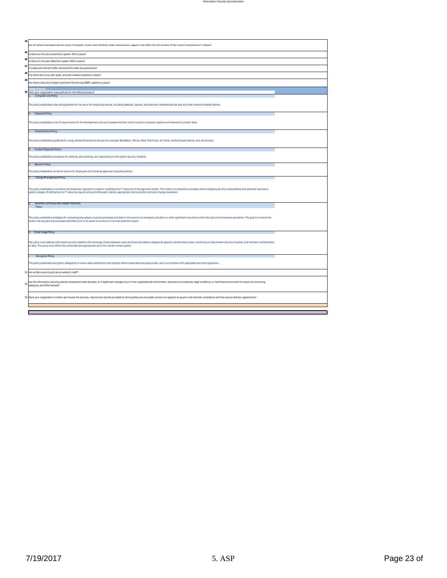| 44 |                                                                                                                                                                                                                                                                                                                                          |  |
|----|------------------------------------------------------------------------------------------------------------------------------------------------------------------------------------------------------------------------------------------------------------------------------------------------------------------------------------------|--|
|    | Are all network hardware devices (such as firewalls, routers and switches) under maintenance, support, and within two (2) versions of the current manufacturer's release?                                                                                                                                                                |  |
| 45 | Is there an intrusion prevention system (IPS) in place?                                                                                                                                                                                                                                                                                  |  |
| 46 | Is there an intrusion detection system (IDS) in place?                                                                                                                                                                                                                                                                                   |  |
| 47 | Is outbound internet traffic monitored for data loss prevention?                                                                                                                                                                                                                                                                         |  |
| 48 | Are there anti-virus, anti-spam, and anti-malware systems in place?                                                                                                                                                                                                                                                                      |  |
| 49 | Are there a Security Incident and Event Monitoring (SIEM) systems in place?                                                                                                                                                                                                                                                              |  |
|    | ndor Policie:                                                                                                                                                                                                                                                                                                                            |  |
|    | 50 Does your organization have policies for the following topics?<br>Computer Use Policy                                                                                                                                                                                                                                                 |  |
|    | This policy establishes rules and guidelines for the use of all computing devices, including desktops, laptops, smartphones, handheld devices and any other network enabled devices.                                                                                                                                                     |  |
|    | Password Policy                                                                                                                                                                                                                                                                                                                          |  |
|    | This policy establishes a list of requirements for the development and use of passwords that control access to computer systems and networks to protect data.                                                                                                                                                                            |  |
|    | Mobile Device Policy                                                                                                                                                                                                                                                                                                                     |  |
|    | This policy establishes quidelines for using cellular/Smartphone devices (for example, BlackBerry, iPhone, iPad, iPod Touch, Air Cards, Android based devices, and cell phones).                                                                                                                                                         |  |
|    | d. Incident Response Policy                                                                                                                                                                                                                                                                                                              |  |
|    | This policy establishes procedures for defining, documenting, and responding to information security incidents.                                                                                                                                                                                                                          |  |
|    | <b>Sanction Policy</b>                                                                                                                                                                                                                                                                                                                   |  |
|    | This policy establishes corrective actions for employees not following approved corporate policies.                                                                                                                                                                                                                                      |  |
|    | Change Management Policy                                                                                                                                                                                                                                                                                                                 |  |
|    | This policy establishes a consistent and systematic approach is used for modifying the IT resources of the approved vendor. The intent is to streamline processes while mitigating security vulnerabilities and potential loss                                                                                                           |  |
|    | system outages. Modifications to IT resources require serious forethought, testing, appropriate communication and post-change evaluation.                                                                                                                                                                                                |  |
|    | <b>Business Continuity and Disaster Recovery</b>                                                                                                                                                                                                                                                                                         |  |
|    | Policy                                                                                                                                                                                                                                                                                                                                   |  |
|    | This policy establishes strategies for recovering key systems, business processes and data in the event of an emergency situation or other significant occurrence which disrupts critical business operations. The goal is to<br>vendor has key data and processes identified prior to an event occurrence to minimize potential impact. |  |
|    | h. Email Usage Policy                                                                                                                                                                                                                                                                                                                    |  |
|    | The policy must address information security related to the exchange of data between users via email and address safeguards against unauthorized access, monitoring to help prevent security breaches, and maintain confidenti<br>of data. The policy must define the authorized and appropriate use of the vendor's email system.       |  |
|    | <b>Encryption Policy</b>                                                                                                                                                                                                                                                                                                                 |  |
|    | This policy establishes encryption safeguards to ensure data authenticity and integrity where reasonable and appropriate, and in accordance with applicable laws and regulations.                                                                                                                                                        |  |
|    | Are written security policies provided to staff?                                                                                                                                                                                                                                                                                         |  |
| 52 | Are the information security policies reviewed at least annually; or if significant changes occur in the organizational environment, business circumstances, legal conditions, or technical environment to ensure its continui<br>adequacy and effectiveness?                                                                            |  |
|    | 53 Does your organization monitor and review the services, reports and records provided by third parties and are audits carried out regularly to govern and maintain compliance with the service delivery agreements?                                                                                                                    |  |
|    |                                                                                                                                                                                                                                                                                                                                          |  |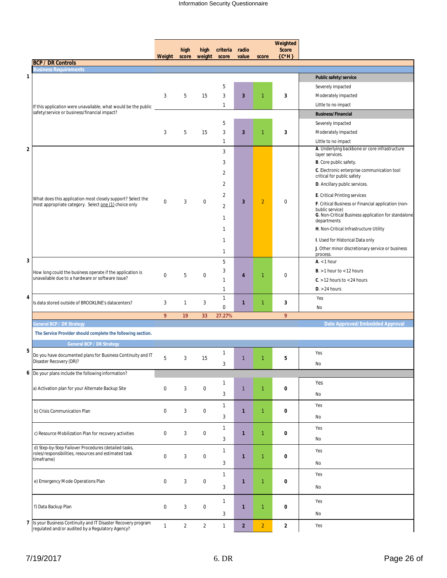|                                                                                                                      |                  |                |                  |                                  |                |                | Weighted                |                                                                               |
|----------------------------------------------------------------------------------------------------------------------|------------------|----------------|------------------|----------------------------------|----------------|----------------|-------------------------|-------------------------------------------------------------------------------|
|                                                                                                                      | Weight           | high<br>score  | high<br>weight   | criteria<br>score                | radio<br>value | score          | <b>Score</b><br>${C*H}$ |                                                                               |
| <b>BCP / DR Controls</b>                                                                                             |                  |                |                  |                                  |                |                |                         |                                                                               |
| <b>Business Requirements</b><br>1                                                                                    |                  |                |                  |                                  |                |                |                         | Public safety/service                                                         |
|                                                                                                                      |                  |                |                  | 5                                |                |                |                         | Severely impacted                                                             |
|                                                                                                                      | 3                | 5              | 15               | 3                                | $\mathbf{3}$   | $\mathbf{1}$   | 3                       | Moderately impacted                                                           |
|                                                                                                                      |                  |                |                  | $\mathbf{1}$                     |                |                |                         | Little to no impact                                                           |
| If this application were unavailable, what would be the public<br>safety/service or business/financial impact?       |                  |                |                  |                                  |                |                |                         | <b>Business/Financial</b>                                                     |
|                                                                                                                      |                  |                |                  | 5                                |                |                |                         | Severely impacted                                                             |
|                                                                                                                      | 3                | 5              | 15               | 3                                | $\mathbf{3}$   | $\mathbf{1}$   | 3                       | Moderately impacted                                                           |
|                                                                                                                      |                  |                |                  | $\mathbf{1}$                     |                |                |                         | Little to no impact                                                           |
| 2                                                                                                                    |                  |                |                  | 3                                |                |                |                         | A. Underlying backbone or core infrastructure                                 |
|                                                                                                                      |                  |                |                  |                                  |                |                |                         | layer services.                                                               |
|                                                                                                                      |                  |                |                  | 3                                |                |                |                         | <b>B</b> . Core public safety.<br>C. Electronic enterprise communication tool |
|                                                                                                                      |                  |                |                  | 2                                |                |                |                         | critical for public safety                                                    |
|                                                                                                                      |                  |                |                  | 2                                |                |                |                         | D. Ancillary public services.                                                 |
|                                                                                                                      |                  |                |                  | $\overline{2}$                   |                |                |                         | <b>E.</b> Critical Printing services                                          |
| What does this application most closely support? Select the<br>most appropriate category. Select one (1) choice only | $\mathbf 0$      | 3              | 0                | 2                                | 3              | $\overline{2}$ | $\boldsymbol{0}$        | F. Critical Business or Financial application (non-                           |
|                                                                                                                      |                  |                |                  |                                  |                |                |                         | bublic service)<br>G. Non-Critical Business application for standalone        |
|                                                                                                                      |                  |                |                  | $\mathbf{1}$                     |                |                |                         | departments                                                                   |
|                                                                                                                      |                  |                |                  | $\mathbf{1}$                     |                |                |                         | H. Non-Critical Infrastructure Utility                                        |
|                                                                                                                      |                  |                |                  | $\mathbf{1}$                     |                |                |                         | I. Used for Historical Data only                                              |
|                                                                                                                      |                  |                |                  | $\mathbf{1}$                     |                |                |                         | J. Other minor discretionary service or business                              |
| 3                                                                                                                    |                  |                |                  |                                  |                |                |                         | process.                                                                      |
|                                                                                                                      |                  |                |                  | 5                                |                |                |                         | $Ax$ / hour                                                                   |
| How long could the business operate if the application is<br>unavailable due to a hardware or software issue?        | $\mathbf 0$      | 5              | 0                | 3                                | 4              | $\mathbf{1}$   | $\mathbf{0}$            | $B \ge 1$ hour to < 12 hours                                                  |
|                                                                                                                      |                  |                |                  | $\mathbf{1}$                     |                |                |                         | $C. > 12$ hours to < 24 hours                                                 |
| 4                                                                                                                    |                  |                |                  | $\mathbf{1}$                     |                |                |                         | $D. > 24$ hours                                                               |
| Is data stored outside of BROOKLINE's datacenters?                                                                   | 3                | $\mathbf{1}$   | 3                | $\mathbf{1}$<br>$\boldsymbol{0}$ | $\mathbf{1}$   | $\mathbf{1}$   | 3                       | Yes<br><b>No</b>                                                              |
|                                                                                                                      | 9                | 19             | 33               | 27.27%                           |                |                | 9                       |                                                                               |
| <b>General BCP / DR Strategy</b>                                                                                     |                  |                |                  |                                  |                |                |                         | Date Approved/Embedded Approval                                               |
| The Service Provider should complete the following section.                                                          |                  |                |                  |                                  |                |                |                         |                                                                               |
| <b>General BCP / DR Strategy</b>                                                                                     |                  |                |                  |                                  |                |                |                         |                                                                               |
| 5                                                                                                                    |                  |                |                  | $\mathbf{1}$                     |                |                |                         | Yes                                                                           |
| Do you have documented plans for Business Continuity and IT<br>Disaster Recovery (DR)?                               | 5                | 3              | 15               |                                  | $\mathbf{1}$   | $\mathbf{1}$   | 5                       |                                                                               |
|                                                                                                                      |                  |                |                  | 3                                |                |                |                         | No.                                                                           |
| 6 Do your plans include the following information?                                                                   |                  |                |                  |                                  |                |                |                         |                                                                               |
| a) Activation plan for your Alternate Backup Site                                                                    | $\boldsymbol{0}$ | 3              | $\boldsymbol{0}$ | $\mathbf{1}$                     | $\mathbf{1}$   | $\mathbf{1}$   | $\pmb{0}$               | Yes                                                                           |
|                                                                                                                      |                  |                |                  | 3                                |                |                |                         | No                                                                            |
|                                                                                                                      |                  |                |                  | $\mathbf{1}$                     |                |                |                         | Yes                                                                           |
| b) Crisis Communication Plan                                                                                         | $\boldsymbol{0}$ | 3              | 0                | 3                                | $\mathbf{1}$   | $\overline{1}$ | $\pmb{0}$               | No                                                                            |
|                                                                                                                      |                  |                |                  |                                  |                |                |                         |                                                                               |
| c) Resource Mobilization Plan for recovery activities                                                                | $\boldsymbol{0}$ | 3              | 0                | $\mathbf{1}$                     | $\mathbf{1}$   | $\mathbf{1}$   | $\pmb{0}$               | Yes                                                                           |
|                                                                                                                      |                  |                |                  | 3                                |                |                |                         | No                                                                            |
| d) Step-by-Step Failover Procedures (detailed tasks,<br>roles/responsibilities, resources and estimated task         |                  |                |                  | $\mathbf{1}$                     |                |                |                         | Yes                                                                           |
| timeframe)                                                                                                           | $\boldsymbol{0}$ | 3              | 0                | 3                                | $\mathbf{1}$   | $\mathbf{1}$   | $\pmb{0}$               | No                                                                            |
|                                                                                                                      |                  |                |                  |                                  |                |                |                         |                                                                               |
| e) Emergency Mode Operations Plan                                                                                    | $\boldsymbol{0}$ | 3              | 0                | $\mathbf{1}$                     | $\mathbf{1}$   | $\overline{1}$ | $\pmb{0}$               | Yes                                                                           |
|                                                                                                                      |                  |                |                  | 3                                |                |                |                         | No                                                                            |
|                                                                                                                      |                  |                |                  |                                  |                |                |                         |                                                                               |
| f) Data Backup Plan                                                                                                  | $\boldsymbol{0}$ | 3              | 0                | $\mathbf{1}$                     | $\mathbf{1}$   | $\mathbf{1}$   | 0                       | Yes                                                                           |
|                                                                                                                      |                  |                |                  | 3                                |                |                |                         | No                                                                            |
| 7 Is your Business Continuity and IT Disaster Recovery program<br>regulated and/or audited by a Regulatory Agency?   | $\mathbf{1}$     | $\overline{c}$ | $\overline{2}$   | $\mathbf{1}$                     | $\overline{2}$ | $\overline{2}$ | $\overline{\mathbf{2}}$ | Yes                                                                           |
|                                                                                                                      |                  |                |                  |                                  |                |                |                         |                                                                               |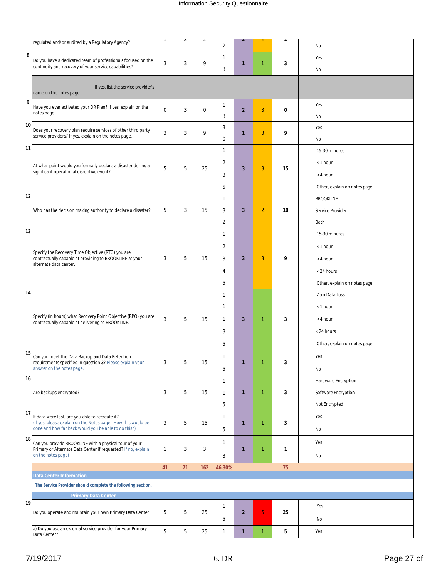|    | regulated and/or audited by a Regulatory Agency?                                                                     | $\blacksquare$ | $\angle$ | $\angle$         | 2              |                         |                | ∠           | No                           |
|----|----------------------------------------------------------------------------------------------------------------------|----------------|----------|------------------|----------------|-------------------------|----------------|-------------|------------------------------|
| 8  | Do you have a dedicated team of professionals focused on the                                                         |                |          |                  | $\mathbf{1}$   |                         |                |             | Yes                          |
|    | continuity and recovery of your service capabilities?                                                                | 3              | 3        | 9                | 3              | $\mathbf{1}$            | $\mathbf{1}$   | 3           | No                           |
|    |                                                                                                                      |                |          |                  |                |                         |                |             |                              |
|    | If yes, list the service provider's<br>name on the notes page.                                                       |                |          |                  |                |                         |                |             |                              |
| 9  | Have you ever activated your DR Plan? If yes, explain on the                                                         | $\mathbf 0$    | 3        | $\boldsymbol{0}$ | 1              | $\overline{2}$          | 3              | $\mathbf 0$ | Yes                          |
|    | notes page.                                                                                                          |                |          |                  | 3              |                         |                |             | No                           |
| 10 | Does your recovery plan require services of other third party                                                        | 3              | 3        | 9                | 3              | $\mathbf{1}$            | 3              | 9           | Yes                          |
|    | service providers? If yes, explain on the notes page.                                                                |                |          |                  | 0              |                         |                |             | No                           |
| 11 |                                                                                                                      |                |          |                  | $\mathbf{1}$   |                         |                |             | 15-30 minutes                |
|    | At what point would you formally declare a disaster during a                                                         | 5              | 5        | 25               | $\overline{2}$ | $\overline{\mathbf{3}}$ | 3              | 15          | < 1 hour                     |
|    | significant operational disruptive event?                                                                            |                |          |                  | 3              |                         |                |             | < 4 hour                     |
|    |                                                                                                                      |                |          |                  | 5              |                         |                |             | Other, explain on notes page |
| 12 |                                                                                                                      |                |          |                  | $\mathbf{1}$   |                         |                |             | <b>BROOKLINE</b>             |
|    | Who has the decision making authority to declare a disaster?                                                         | 5              | 3        | 15               | 3              | $\overline{\mathbf{3}}$ | $\overline{2}$ | 10          | Service Provider             |
|    |                                                                                                                      |                |          |                  | 2              |                         |                |             | Both                         |
| 13 |                                                                                                                      |                |          |                  | $\mathbf{1}$   |                         |                |             | 15-30 minutes                |
|    |                                                                                                                      |                |          |                  | $\overline{c}$ |                         |                |             | $<$ 1 hour                   |
|    | Specify the Recovery Time Objective (RTO) you are<br>contractually capable of providing to BROOKLINE at your         | 3              | 5        | 15               | 3              | $\overline{\mathbf{3}}$ | 3              | 9           | < 4 hour                     |
|    | alternate data center.                                                                                               |                |          |                  | 4              |                         |                |             | < 24 hours                   |
|    |                                                                                                                      |                |          |                  | 5              |                         |                |             | Other, explain on notes page |
| 14 |                                                                                                                      |                |          |                  | $\mathbf{1}$   |                         |                |             | Zero Data Loss               |
|    |                                                                                                                      |                |          |                  | $\mathbf{1}$   |                         |                |             | $<$ 1 hour                   |
|    | Specify (in hours) what Recovery Point Objective (RPO) you are<br>contractually capable of delivering to BROOKLINE.  | 3              | 5        | 15               | $\mathbf{1}$   | $\overline{\mathbf{3}}$ | $\mathbf{1}$   | 3           | < 4 hour                     |
|    |                                                                                                                      |                |          |                  | 3              |                         |                |             | < 24 hours                   |
|    |                                                                                                                      |                |          |                  | 5              |                         |                |             | Other, explain on notes page |
| 15 | Can you meet the Data Backup and Data Retention                                                                      |                |          |                  | $\mathbf{1}$   |                         |                |             | Yes                          |
|    | requirements specified in question 3? Please explain your<br>answer on the notes page.                               | 3              | 5        | 15               | 5              | $\mathbf{1}$            | $\overline{1}$ | 3           | No                           |
| 16 |                                                                                                                      |                |          |                  | $\mathbf{1}$   |                         |                |             | Hardware Encryption          |
|    | Are backups encrypted?                                                                                               | 3              | 5        | 15               | $\mathbf{1}$   | $\mathbf{1}$            | $\mathbf{1}$   | 3           | Software Encryption          |
|    |                                                                                                                      |                |          |                  | 5              |                         |                |             | Not Encrypted                |
| 17 | If data were lost, are you able to recreate it?                                                                      |                |          |                  | 1              |                         |                |             | Yes                          |
|    | (If yes, please explain on the Notes page: How this would be<br>done and how far back would you be able to do this?) | 3              | 5        | 15               | 5              | $\mathbf{1}$            | $\mathbf{1}$   | 3           | No                           |
| 18 | Can you provide BROOKLINE with a physical tour of your                                                               |                |          |                  | $\mathbf{1}$   |                         |                |             | Yes                          |
|    | Primary or Alternate Data Center if requested? If no, explain<br>on the notes page)                                  | $\mathbf{1}$   | 3        | 3                |                | $\mathbf{1}$            | 1              | 1           |                              |
|    |                                                                                                                      |                |          |                  | 3              |                         |                |             | No                           |
|    | <b>Data Center Information</b>                                                                                       | 41             | 71       | 162              | 46.30%         |                         |                | 75          |                              |
|    | The Service Provider should complete the following section.                                                          |                |          |                  |                |                         |                |             |                              |
| 19 | <b>Primary Data Center</b>                                                                                           |                |          |                  |                |                         |                |             |                              |
|    | Do you operate and maintain your own Primary Data Center                                                             | 5              | 5        | 25               | 1              | $\overline{2}$          | $\overline{5}$ | 25          | Yes                          |
|    |                                                                                                                      |                |          |                  | 5              |                         |                |             | No                           |
|    | a) Do you use an external service provider for your Primary<br>Data Center?                                          | 5              | 5        | 25               | $\mathbf{1}$   | $\mathbf{1}$            | $\mathbf{1}$   | 5           | Yes                          |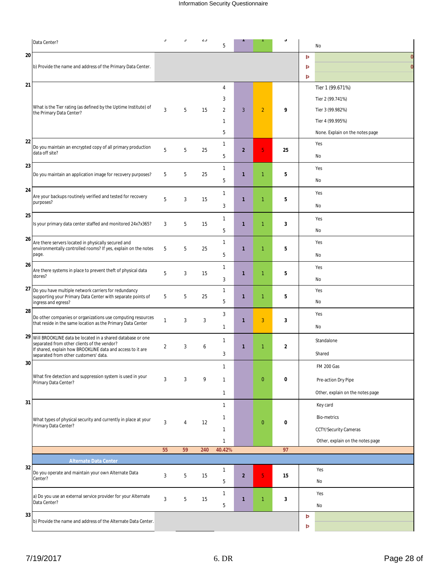|    | Data Center?                                                                                                               | $\cup$         | $\cup$         | $\angle$ | 5                 |                |                | $\upsilon$     |   | No                               |
|----|----------------------------------------------------------------------------------------------------------------------------|----------------|----------------|----------|-------------------|----------------|----------------|----------------|---|----------------------------------|
| 20 |                                                                                                                            |                |                |          |                   |                |                |                | Þ | $\Omega$                         |
|    | b) Provide the name and address of the Primary Data Center.                                                                |                |                |          |                   |                |                |                | Þ | $\bf{0}$                         |
|    |                                                                                                                            |                |                |          |                   |                |                |                | Þ |                                  |
| 21 |                                                                                                                            |                |                |          | $\overline{4}$    |                |                |                |   | Tier 1 (99.671%)                 |
|    |                                                                                                                            |                |                |          | 3                 |                |                |                |   | Tier 2 (99.741%)                 |
|    | What is the Tier rating (as defined by the Uptime Institute) of<br>the Primary Data Center?                                | 3              | 5              | 15       | $\overline{2}$    | 3              | $\overline{2}$ | 9              |   | Tier 3 (99.982%)                 |
|    |                                                                                                                            |                |                |          | 1                 |                |                |                |   | Tier 4 (99.995%)                 |
|    |                                                                                                                            |                |                |          | 5                 |                |                |                |   | None. Explain on the notes page  |
| 22 |                                                                                                                            |                |                |          | $\mathbf{1}$      |                |                |                |   | Yes                              |
|    | Do you maintain an encrypted copy of all primary production<br>data off site?                                              | 5              | 5              | 25       | 5                 | $\overline{2}$ | 5              | 25             |   | No                               |
| 23 |                                                                                                                            |                |                |          | $\mathbf{1}$      |                |                |                |   | Yes                              |
|    | Do you maintain an application image for recovery purposes?                                                                | 5              | 5              | 25       |                   | 1              | 1              | 5              |   |                                  |
| 24 |                                                                                                                            |                |                |          | 5                 |                |                |                |   | No                               |
|    | Are your backups routinely verified and tested for recovery                                                                | 5              | 3              | 15       | $\mathbf{1}$      | 1              | 1              | 5              |   | Yes                              |
|    | purposes?                                                                                                                  |                |                |          | 3                 |                |                |                |   | No                               |
| 25 |                                                                                                                            |                |                |          | $\mathbf{1}$      |                |                |                |   | Yes                              |
|    | Is your primary data center staffed and monitored 24x7x365?                                                                | 3              | 5              | 15       | 5                 | $\mathbf{1}$   | $\mathbf{1}$   | 3              |   | No                               |
| 26 | Are there servers located in physically secured and                                                                        |                |                |          | $\mathbf{1}$      |                |                |                |   | Yes                              |
|    | environmentally controlled rooms? If yes, explain on the notes<br>page.                                                    | 5              | 5              | 25       | 5                 | 1              | $\mathbf{1}$   | 5              |   | No                               |
| 26 |                                                                                                                            |                |                |          | $\mathbf{1}$      |                |                |                |   | Yes                              |
|    | Are there systems in place to prevent theft of physical data<br>stores?                                                    | 5              | 3              | 15       |                   | 1              | $\mathbf{1}$   | 5              |   |                                  |
|    |                                                                                                                            |                |                |          | 3<br>$\mathbf{1}$ |                |                |                |   | No                               |
|    | 27 Do you have multiple network carriers for redundancy<br>supporting your Primary Data Center with separate points of     | 5              | 5              | 25       |                   | 1              | 1              | 5              |   | Yes                              |
| 28 | ingress and egress?                                                                                                        |                |                |          | 5                 |                |                |                |   | No                               |
|    | Do other companies or organizations use computing resources<br>that reside in the same location as the Primary Data Center | $\mathbf{1}$   | 3              | 3        | 3                 | $\mathbf{1}$   | 3              | 3              |   | Yes                              |
|    |                                                                                                                            |                |                |          | $\mathbf{1}$      |                |                |                |   | No                               |
|    | 29 Will BROOKLINE data be located in a shared database or one<br>separated from other clients of the vendor?               |                |                |          | 1                 |                |                |                |   | Standalone                       |
|    | If shared, explain how BROOKLINE data and access to it are<br>separated from other customers' data.                        | $\overline{2}$ | 3              | 6        | 3                 | 1              | 1              | $\overline{2}$ |   | Shared                           |
| 30 |                                                                                                                            |                |                |          |                   |                |                |                |   | <b>FM 200 Gas</b>                |
|    | What fire detection and suppression system is used in your                                                                 |                |                |          |                   |                |                |                |   |                                  |
|    | Primary Data Center?                                                                                                       | 3              | 3              | 9        | $\mathbf{1}$      |                | $\overline{0}$ | 0              |   | Pre-action Dry Pipe              |
|    |                                                                                                                            |                |                |          | $\mathbf{1}$      |                |                |                |   | Other, explain on the notes page |
| 31 |                                                                                                                            |                |                |          | $\mathbf{1}$      |                |                |                |   | Key card                         |
|    | What types of physical security and currently in place at your                                                             | 3              | $\overline{4}$ | 12       | $\mathbf{1}$      |                | $\overline{0}$ | $\bf{0}$       |   | <b>Bio-metrics</b>               |
|    | Primary Data Center?                                                                                                       |                |                |          | $\mathbf{1}$      |                |                |                |   | CCTY/Security Cameras            |
|    |                                                                                                                            |                |                |          | $\mathbf{1}$      |                |                |                |   | Other, explain on the notes page |
|    |                                                                                                                            | 55             | 59             | 240      | 40.42%            |                |                | 97             |   |                                  |
| 32 | <b>Alternate Data Center</b>                                                                                               |                |                |          |                   |                |                |                |   |                                  |
|    | Do you operate and maintain your own Alternate Data<br>Center?                                                             | 3              | 5              | 15       | $\mathbf{1}$      | $\overline{2}$ | 5              | 15             |   | Yes                              |
|    |                                                                                                                            |                |                |          | 5                 |                |                |                |   | No                               |
|    | a) Do you use an external service provider for your Alternate                                                              | 3              | 5              | 15       | 1                 | 1              | 1              | 3              |   | Yes                              |
|    | Data Center?                                                                                                               |                |                |          | 5                 |                |                |                |   | No                               |
| 33 | b) Provide the name and address of the Alternate Data Center.                                                              |                |                |          |                   |                |                |                | Þ |                                  |
|    |                                                                                                                            |                |                |          |                   |                |                |                | Þ |                                  |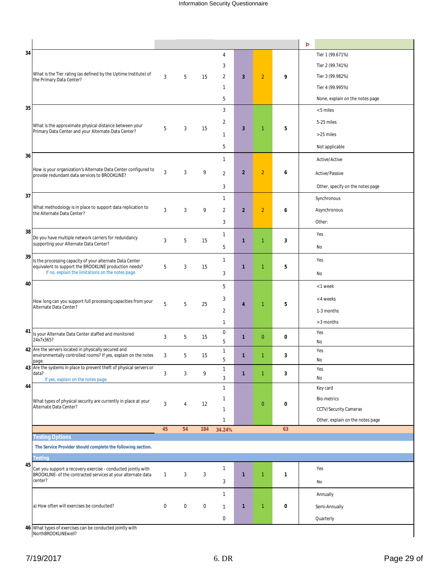|    |                                                                                                                   |              |                  |             |                   |                         |                |              | Þ                                |
|----|-------------------------------------------------------------------------------------------------------------------|--------------|------------------|-------------|-------------------|-------------------------|----------------|--------------|----------------------------------|
| 34 |                                                                                                                   |              |                  |             | 4                 |                         |                |              | Tier 1 (99.671%)                 |
|    |                                                                                                                   |              |                  |             | 3                 |                         |                |              | Tier 2 (99.741%)                 |
|    | What is the Tier rating (as defined by the Uptime Institute) of<br>the Primary Data Center?                       | 3            | 5                | 15          | $\overline{2}$    | $\overline{\mathbf{3}}$ | $\overline{2}$ | 9            | Tier 3 (99.982%)                 |
|    |                                                                                                                   |              |                  |             | $\mathbf{1}$      |                         |                |              | Tier 4 (99.995%)                 |
|    |                                                                                                                   |              |                  |             | 5                 |                         |                |              | None, explain on the notes page  |
| 35 |                                                                                                                   |              |                  |             | 3                 |                         |                |              | < 5 miles                        |
|    | What is the approximate physical distance between your                                                            |              |                  |             | $\overline{2}$    |                         |                |              | 5-25 miles                       |
|    | Primary Data Center and your Alternate Data Center?                                                               | 5            | 3                | 15          | $\mathbf{1}$      | 3                       | $\mathbf{1}$   | 5            | > 25 miles                       |
|    |                                                                                                                   |              |                  |             | 5                 |                         |                |              | Not applicable                   |
| 36 |                                                                                                                   |              |                  |             |                   |                         |                |              |                                  |
|    | How is your organization's Alternate Data Center configured to                                                    |              |                  |             | $\mathbf{1}$      |                         |                |              | Active/Active                    |
|    | provide redundant data services to BROOKLINE?                                                                     | 3            | 3                | 9           | $\overline{2}$    | $\overline{2}$          | $\overline{2}$ | 6            | Active/Passive                   |
|    |                                                                                                                   |              |                  |             | 3                 |                         |                |              | Other, specify on the notes page |
| 37 |                                                                                                                   |              |                  |             | $\mathbf{1}$      |                         |                |              | Synchronous                      |
|    | What methodology is in place to support data replication to<br>the Alternate Data Center?                         | 3            | 3                | 9           | $\overline{2}$    | $\overline{2}$          | $\overline{2}$ | 6            | Asynchronous                     |
|    |                                                                                                                   |              |                  |             | 3                 |                         |                |              | Other:                           |
| 38 |                                                                                                                   |              |                  |             | $\mathbf{1}$      |                         |                |              | Yes                              |
|    | Do you have multiple network carriers for redundancy<br>supporting your Alternate Data Center?                    | 3            | 5                | 15          | 5                 | 1                       | 1              | 3            | No                               |
| 39 |                                                                                                                   |              |                  |             |                   |                         |                |              | Yes                              |
|    | Is the processing capacity of your alternate Data Center<br>equivalent to support the BROOKLINE production needs? | 5            | 3                | 15          | $\mathbf{1}$      | 1                       | 1              | 5            |                                  |
|    | If no, explain the limitations on the notes page.                                                                 |              |                  |             | 3                 |                         |                |              | No                               |
| 40 | How long can you support full processing capacities from your                                                     |              |                  |             | 5                 |                         |                |              | < 1 week                         |
|    |                                                                                                                   | 5            | 5                | 25          | 3                 | 4                       | 1              | 5            | < 4 weeks                        |
|    | Alternate Data Center?                                                                                            |              |                  |             | $\overline{2}$    |                         |                |              | 1-3 months                       |
|    |                                                                                                                   |              |                  |             | $\mathbf{1}$      |                         |                |              | > 3 months                       |
| 41 | Is your Alternate Data Center staffed and monitored                                                               | 3            | 5                | 15          | $\boldsymbol{0}$  | 1                       | $\mathbf{0}$   | 0            | Yes                              |
|    | 24x7x365?<br>42 Are the servers located in physically secured and                                                 |              |                  |             | 5                 |                         |                |              | No                               |
|    | environmentally controlled rooms? If yes, explain on the notes                                                    | 3            | 5                | 15          | $\mathbf{1}$<br>5 | 1                       | $\mathbf{1}$   | 3            | Yes<br>No                        |
|    | page.<br>43 Are the systems in place to prevent theft of physical servers or                                      |              |                  |             | 1                 |                         |                |              | Yes                              |
|    | data?<br>If yes, explain on the notes page.                                                                       | 3            | 3                | 9           | $\mathfrak{Z}$    | $\mathbf{1}$            | $\mathbf{1}$   | 3            | No                               |
| 44 |                                                                                                                   |              |                  |             | $\mathbf{1}$      |                         |                |              | Key card                         |
|    | What types of physical security are currently in place at your                                                    | 3            | 4                | 12          | $\mathbf{1}$      |                         | $\overline{0}$ | 0            | <b>Bio-metrics</b>               |
|    | Alternate Data Center?                                                                                            |              |                  |             | $\mathbf{1}$      |                         |                |              | <b>CCTV/Security Cameras</b>     |
|    |                                                                                                                   |              |                  |             | $\mathbf{1}$      |                         |                |              | Other, explain on the notes page |
|    | <b>Testing Options</b>                                                                                            | 45           | 54               | 184         | 34.24%            |                         |                | 63           |                                  |
|    | The Service Provider should complete the following section.                                                       |              |                  |             |                   |                         |                |              |                                  |
|    | <b>Testing</b>                                                                                                    |              |                  |             |                   |                         |                |              |                                  |
| 45 | Can you support a recovery exercise - conducted jointly with                                                      |              |                  |             | 1                 |                         |                |              | Yes                              |
|    | BROOKLINE- of the contracted services at your alternate data<br>center?                                           | $\mathbf{1}$ | 3                | 3           | 3                 | 1                       | $\mathbf{1}$   | $\mathbf{1}$ | No                               |
|    |                                                                                                                   |              |                  |             | $\mathbf{1}$      |                         |                |              |                                  |
|    |                                                                                                                   |              |                  |             |                   |                         |                |              | Annually                         |
|    | a) How often will exercises be conducted?                                                                         | $\mathbf 0$  | $\boldsymbol{0}$ | $\mathbf 0$ | $\mathbf{1}$      | 1                       | $\mathbf{1}$   | 0            | Semi-Annually                    |
|    |                                                                                                                   |              |                  |             | $\boldsymbol{0}$  |                         |                |              | Quarterly                        |

What types of exercises can be conducted jointly with What types of exercises<br>NorthBROOKLINEwell?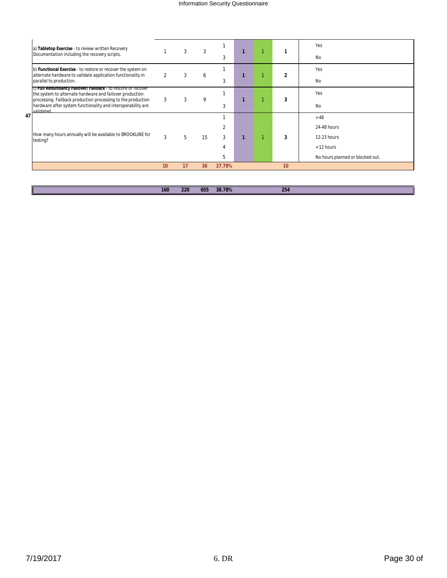|    | a) Tabletop Exercise - to review written Recovery                                                                                         |    |    | 3  |        |  |    | <b>Yes</b>                       |
|----|-------------------------------------------------------------------------------------------------------------------------------------------|----|----|----|--------|--|----|----------------------------------|
|    | Documentation including the recovery scripts.                                                                                             |    |    |    | 3      |  |    | <b>No</b>                        |
|    | b) Functional Exercise - to restore or recover the system on                                                                              |    | 3  | 6  |        |  | 2  | Yes                              |
|    | alternate hardware to validate application functionality in<br>parallel to production.                                                    |    |    |    | 3      |  |    | <b>No</b>                        |
|    | c) Full Redundancy Fallover/Fallback - to restore or recover<br>the system to alternate hardware and failover production                  |    |    |    |        |  |    | Yes                              |
|    | processing. Failback production processing to the production<br>hardware after system functionality and interoperability are<br>validated | 3  | 3  | 9  | 3      |  | 3  | <b>No</b>                        |
| 47 |                                                                                                                                           |    |    |    |        |  |    | >48                              |
|    |                                                                                                                                           |    |    | 15 |        |  |    | 24-48 hours                      |
|    | How many hours annually will be available to BROOKLINE for<br>testing?                                                                    | 3  | 5  |    | 3      |  | 3  | 12-23 hours                      |
|    |                                                                                                                                           |    |    |    |        |  |    | < 12 hours                       |
|    |                                                                                                                                           |    |    |    | 5      |  |    | No hours planned or blocked out. |
|    |                                                                                                                                           | 10 | 17 | 36 | 27.78% |  | 10 |                                  |

| . | co. | $\overline{ }$<br>OD. | 20.700<br>$O$ /0<br>- - - - | つらん |
|---|-----|-----------------------|-----------------------------|-----|
|   |     |                       |                             |     |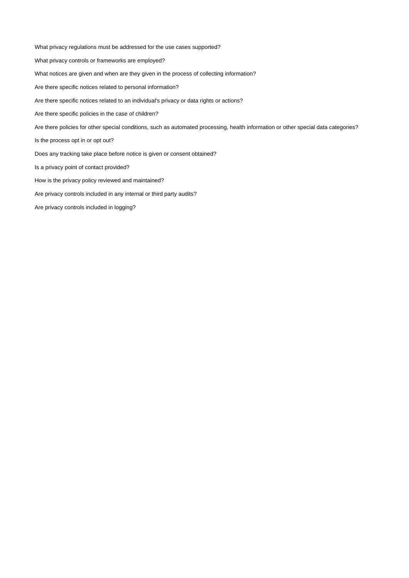What privacy regulations must be addressed for the use cases supported? What privacy controls or frameworks are employed? What notices are given and when are they given in the process of collecting information? Are there specific notices related to personal information? Are there specific notices related to an individual's privacy or data rights or actions? Are there specific policies in the case of children? Is the process opt in or opt out? Does any tracking take place before notice is given or consent obtained? Is a privacy point of contact provided? How is the privacy policy reviewed and maintained? Are privacy controls included in any internal or third party audits? Are there policies for other special conditions, such as automated processing, health information or other special data categories?

Are privacy controls included in logging?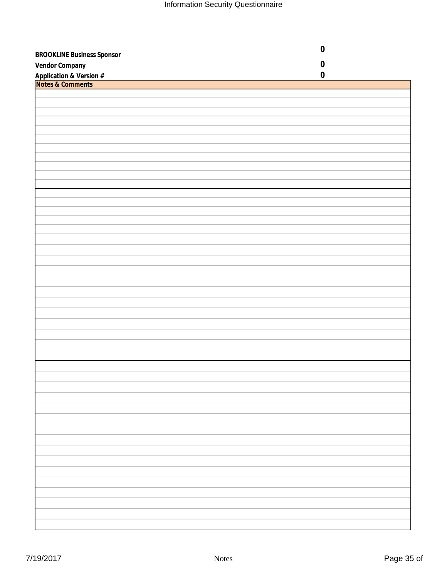|                                                        | $\pmb{0}$ |
|--------------------------------------------------------|-----------|
| <b>BROOKLINE Business Sponsor</b>                      |           |
| <b>Vendor Company</b>                                  | $\pmb{0}$ |
| <b>Application &amp; Version #</b><br>Notes & Comments | $\pmb{0}$ |
|                                                        |           |
|                                                        |           |
|                                                        |           |
|                                                        |           |
|                                                        |           |
|                                                        |           |
|                                                        |           |
|                                                        |           |
|                                                        |           |
|                                                        |           |
|                                                        |           |
|                                                        |           |
|                                                        |           |
|                                                        |           |
|                                                        |           |
|                                                        |           |
|                                                        |           |
|                                                        |           |
|                                                        |           |
|                                                        |           |
|                                                        |           |
|                                                        |           |
|                                                        |           |
|                                                        |           |
|                                                        |           |
|                                                        |           |
|                                                        |           |
|                                                        |           |
|                                                        |           |
|                                                        |           |
|                                                        |           |
|                                                        |           |
|                                                        |           |
|                                                        |           |
|                                                        |           |
|                                                        |           |
|                                                        |           |
|                                                        |           |
|                                                        |           |
|                                                        |           |
|                                                        |           |
|                                                        |           |
|                                                        |           |
|                                                        |           |
|                                                        |           |